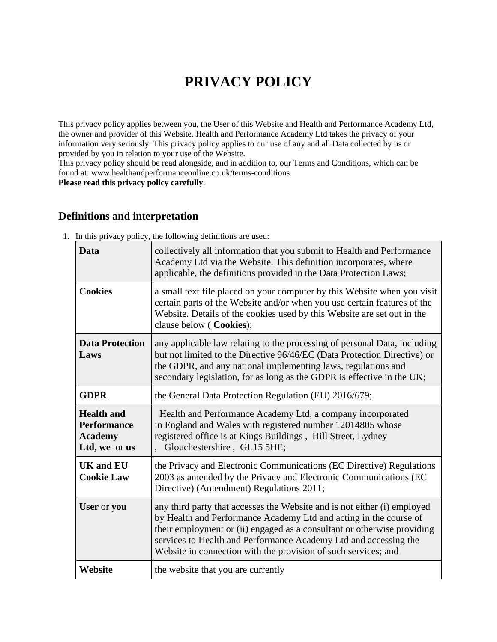# **PRIVACY POLICY**

This privacy policy applies between you, the User of this Website and Health and Performance Academy Ltd, the owner and provider of this Website. Health and Performance Academy Ltd takes the privacy of your information very seriously. This privacy policy applies to our use of any and all Data collected by us or provided by you in relation to your use of the Website.

This privacy policy should be read alongside, and in addition to, our Terms and Conditions, which can be found at: www.healthandperformanceonline.co.uk/terms-conditions.

**Please read this privacy policy carefully**.

# **Definitions and interpretation**

| Data                                                                       | collectively all information that you submit to Health and Performance<br>Academy Ltd via the Website. This definition incorporates, where<br>applicable, the definitions provided in the Data Protection Laws;                                                                                                                                                |  |
|----------------------------------------------------------------------------|----------------------------------------------------------------------------------------------------------------------------------------------------------------------------------------------------------------------------------------------------------------------------------------------------------------------------------------------------------------|--|
| <b>Cookies</b>                                                             | a small text file placed on your computer by this Website when you visit<br>certain parts of the Website and/or when you use certain features of the<br>Website. Details of the cookies used by this Website are set out in the<br>clause below (Cookies);                                                                                                     |  |
| <b>Data Protection</b><br>Laws                                             | any applicable law relating to the processing of personal Data, including<br>but not limited to the Directive 96/46/EC (Data Protection Directive) or<br>the GDPR, and any national implementing laws, regulations and<br>secondary legislation, for as long as the GDPR is effective in the UK;                                                               |  |
| <b>GDPR</b>                                                                | the General Data Protection Regulation (EU) 2016/679;                                                                                                                                                                                                                                                                                                          |  |
| <b>Health and</b><br><b>Performance</b><br><b>Academy</b><br>Ltd, we or us | Health and Performance Academy Ltd, a company incorporated<br>in England and Wales with registered number 12014805 whose<br>registered office is at Kings Buildings, Hill Street, Lydney<br>Glouchestershire, GL15 5HE;                                                                                                                                        |  |
| <b>UK</b> and <b>EU</b><br><b>Cookie Law</b>                               | the Privacy and Electronic Communications (EC Directive) Regulations<br>2003 as amended by the Privacy and Electronic Communications (EC<br>Directive) (Amendment) Regulations 2011;                                                                                                                                                                           |  |
| User or you                                                                | any third party that accesses the Website and is not either (i) employed<br>by Health and Performance Academy Ltd and acting in the course of<br>their employment or (ii) engaged as a consultant or otherwise providing<br>services to Health and Performance Academy Ltd and accessing the<br>Website in connection with the provision of such services; and |  |
| Website                                                                    | the website that you are currently                                                                                                                                                                                                                                                                                                                             |  |

1. In this privacy policy, the following definitions are used: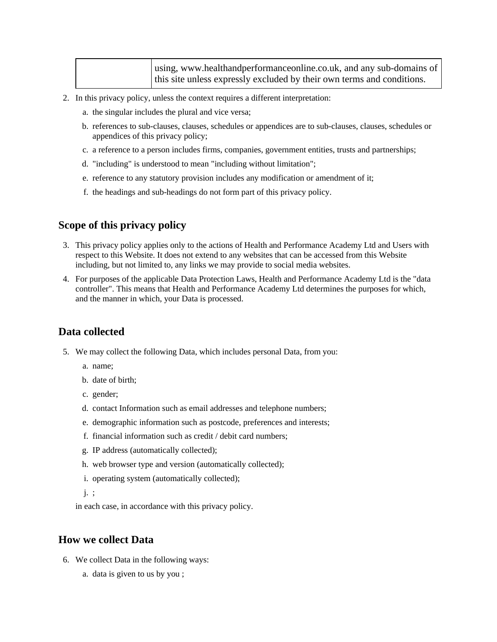| using, www.healthandperformanceonline.co.uk, and any sub-domains of    |
|------------------------------------------------------------------------|
| this site unless expressly excluded by their own terms and conditions. |

- 2. In this privacy policy, unless the context requires a different interpretation:
	- a. the singular includes the plural and vice versa;
	- b. references to sub-clauses, clauses, schedules or appendices are to sub-clauses, clauses, schedules or appendices of this privacy policy;
	- c. a reference to a person includes firms, companies, government entities, trusts and partnerships;
	- d. "including" is understood to mean "including without limitation";
	- e. reference to any statutory provision includes any modification or amendment of it;
	- f. the headings and sub-headings do not form part of this privacy policy.

#### **Scope of this privacy policy**

- 3. This privacy policy applies only to the actions of Health and Performance Academy Ltd and Users with respect to this Website. It does not extend to any websites that can be accessed from this Website including, but not limited to, any links we may provide to social media websites.
- 4. For purposes of the applicable Data Protection Laws, Health and Performance Academy Ltd is the "data controller". This means that Health and Performance Academy Ltd determines the purposes for which, and the manner in which, your Data is processed.

### **Data collected**

- 5. We may collect the following Data, which includes personal Data, from you:
	- a. name;
	- b. date of birth;
	- c. gender;
	- d. contact Information such as email addresses and telephone numbers;
	- e. demographic information such as postcode, preferences and interests;
	- f. financial information such as credit / debit card numbers;
	- g. IP address (automatically collected);
	- h. web browser type and version (automatically collected);
	- i. operating system (automatically collected);
	- j. ;

in each case, in accordance with this privacy policy.

#### **How we collect Data**

- 6. We collect Data in the following ways:
	- a. data is given to us by you ;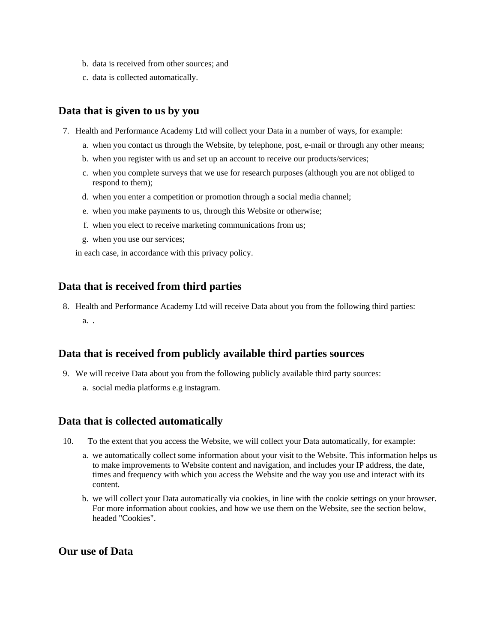- b. data is received from other sources; and
- c. data is collected automatically.

# **Data that is given to us by you**

- 7. Health and Performance Academy Ltd will collect your Data in a number of ways, for example:
	- a. when you contact us through the Website, by telephone, post, e-mail or through any other means;
	- b. when you register with us and set up an account to receive our products/services;
	- c. when you complete surveys that we use for research purposes (although you are not obliged to respond to them);
	- d. when you enter a competition or promotion through a social media channel;
	- e. when you make payments to us, through this Website or otherwise;
	- f. when you elect to receive marketing communications from us;
	- g. when you use our services;

in each case, in accordance with this privacy policy.

#### **Data that is received from third parties**

8. Health and Performance Academy Ltd will receive Data about you from the following third parties: a. .

#### **Data that is received from publicly available third parties sources**

- 9. We will receive Data about you from the following publicly available third party sources:
	- a. social media platforms e.g instagram.

#### **Data that is collected automatically**

- 10. To the extent that you access the Website, we will collect your Data automatically, for example:
	- a. we automatically collect some information about your visit to the Website. This information helps us to make improvements to Website content and navigation, and includes your IP address, the date, times and frequency with which you access the Website and the way you use and interact with its content.
	- b. we will collect your Data automatically via cookies, in line with the cookie settings on your browser. For more information about cookies, and how we use them on the Website, see the section below, headed "Cookies".

### **Our use of Data**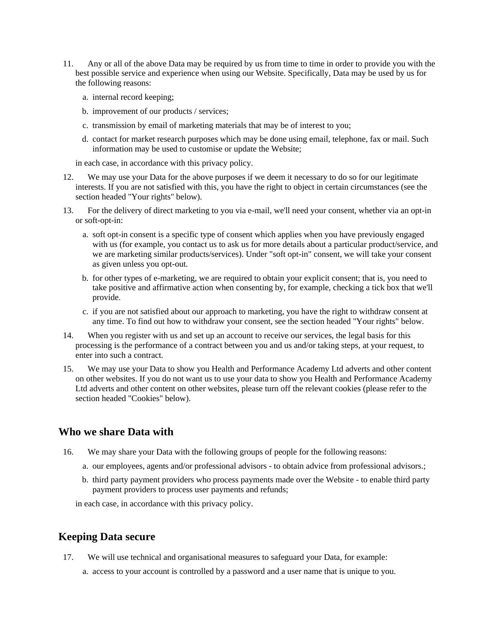- 11. Any or all of the above Data may be required by us from time to time in order to provide you with the best possible service and experience when using our Website. Specifically, Data may be used by us for the following reasons:
	- a. internal record keeping;
	- b. improvement of our products / services;
	- c. transmission by email of marketing materials that may be of interest to you;
	- d. contact for market research purposes which may be done using email, telephone, fax or mail. Such information may be used to customise or update the Website;

in each case, in accordance with this privacy policy.

- 12. We may use your Data for the above purposes if we deem it necessary to do so for our legitimate interests. If you are not satisfied with this, you have the right to object in certain circumstances (see the section headed "Your rights" below).
- 13. For the delivery of direct marketing to you via e-mail, we'll need your consent, whether via an opt-in or soft-opt-in:
	- a. soft opt-in consent is a specific type of consent which applies when you have previously engaged with us (for example, you contact us to ask us for more details about a particular product/service, and we are marketing similar products/services). Under "soft opt-in" consent, we will take your consent as given unless you opt-out.
	- b. for other types of e-marketing, we are required to obtain your explicit consent; that is, you need to take positive and affirmative action when consenting by, for example, checking a tick box that we'll provide.
	- c. if you are not satisfied about our approach to marketing, you have the right to withdraw consent at any time. To find out how to withdraw your consent, see the section headed "Your rights" below.
- 14. When you register with us and set up an account to receive our services, the legal basis for this processing is the performance of a contract between you and us and/or taking steps, at your request, to enter into such a contract.
- 15. We may use your Data to show you Health and Performance Academy Ltd adverts and other content on other websites. If you do not want us to use your data to show you Health and Performance Academy Ltd adverts and other content on other websites, please turn off the relevant cookies (please refer to the section headed "Cookies" below).

### **Who we share Data with**

- 16. We may share your Data with the following groups of people for the following reasons:
	- a. our employees, agents and/or professional advisors to obtain advice from professional advisors.;
	- b. third party payment providers who process payments made over the Website to enable third party payment providers to process user payments and refunds;

in each case, in accordance with this privacy policy.

### **Keeping Data secure**

- 17. We will use technical and organisational measures to safeguard your Data, for example:
	- a. access to your account is controlled by a password and a user name that is unique to you.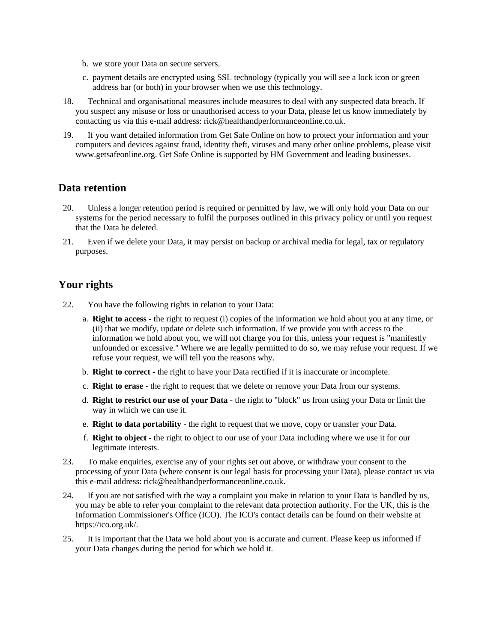- b. we store your Data on secure servers.
- c. payment details are encrypted using SSL technology (typically you will see a lock icon or green address bar (or both) in your browser when we use this technology.
- 18. Technical and organisational measures include measures to deal with any suspected data breach. If you suspect any misuse or loss or unauthorised access to your Data, please let us know immediately by contacting us via this e-mail address: rick@healthandperformanceonline.co.uk.
- 19. If you want detailed information from Get Safe Online on how to protect your information and your computers and devices against fraud, identity theft, viruses and many other online problems, please visit www.getsafeonline.org. Get Safe Online is supported by HM Government and leading businesses.

# **Data retention**

- 20. Unless a longer retention period is required or permitted by law, we will only hold your Data on our systems for the period necessary to fulfil the purposes outlined in this privacy policy or until you request that the Data be deleted.
- 21. Even if we delete your Data, it may persist on backup or archival media for legal, tax or regulatory purposes.

# **Your rights**

- 22. You have the following rights in relation to your Data:
	- a. **Right to access** the right to request (i) copies of the information we hold about you at any time, or (ii) that we modify, update or delete such information. If we provide you with access to the information we hold about you, we will not charge you for this, unless your request is "manifestly unfounded or excessive." Where we are legally permitted to do so, we may refuse your request. If we refuse your request, we will tell you the reasons why.
	- b. **Right to correct** the right to have your Data rectified if it is inaccurate or incomplete.
	- c. **Right to erase** the right to request that we delete or remove your Data from our systems.
	- d. **Right to restrict our use of your Data** the right to "block" us from using your Data or limit the way in which we can use it.
	- e. **Right to data portability** the right to request that we move, copy or transfer your Data.
	- f. **Right to object** the right to object to our use of your Data including where we use it for our legitimate interests.
- 23. To make enquiries, exercise any of your rights set out above, or withdraw your consent to the processing of your Data (where consent is our legal basis for processing your Data), please contact us via this e-mail address: rick@healthandperformanceonline.co.uk.
- 24. If you are not satisfied with the way a complaint you make in relation to your Data is handled by us, you may be able to refer your complaint to the relevant data protection authority. For the UK, this is the Information Commissioner's Office (ICO). The ICO's contact details can be found on their website at https://ico.org.uk/.
- 25. It is important that the Data we hold about you is accurate and current. Please keep us informed if your Data changes during the period for which we hold it.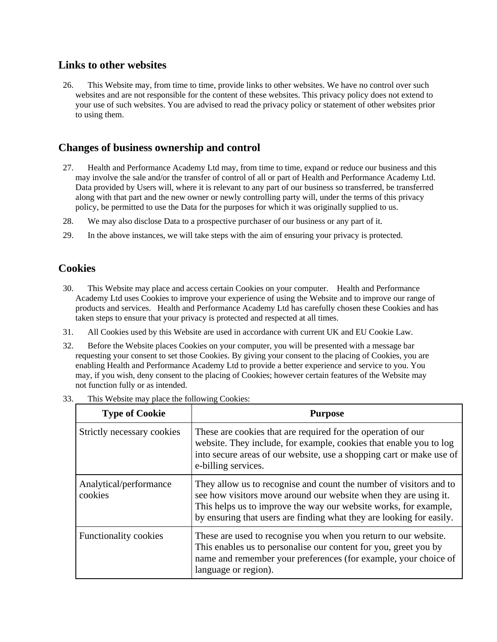### **Links to other websites**

26. This Website may, from time to time, provide links to other websites. We have no control over such websites and are not responsible for the content of these websites. This privacy policy does not extend to your use of such websites. You are advised to read the privacy policy or statement of other websites prior to using them.

# **Changes of business ownership and control**

- 27. Health and Performance Academy Ltd may, from time to time, expand or reduce our business and this may involve the sale and/or the transfer of control of all or part of Health and Performance Academy Ltd. Data provided by Users will, where it is relevant to any part of our business so transferred, be transferred along with that part and the new owner or newly controlling party will, under the terms of this privacy policy, be permitted to use the Data for the purposes for which it was originally supplied to us.
- 28. We may also disclose Data to a prospective purchaser of our business or any part of it.
- 29. In the above instances, we will take steps with the aim of ensuring your privacy is protected.

# **Cookies**

- 30. This Website may place and access certain Cookies on your computer. Health and Performance Academy Ltd uses Cookies to improve your experience of using the Website and to improve our range of products and services. Health and Performance Academy Ltd has carefully chosen these Cookies and has taken steps to ensure that your privacy is protected and respected at all times.
- 31. All Cookies used by this Website are used in accordance with current UK and EU Cookie Law.
- 32. Before the Website places Cookies on your computer, you will be presented with a message bar requesting your consent to set those Cookies. By giving your consent to the placing of Cookies, you are enabling Health and Performance Academy Ltd to provide a better experience and service to you. You may, if you wish, deny consent to the placing of Cookies; however certain features of the Website may not function fully or as intended.

| <b>Type of Cookie</b>             | <b>Purpose</b>                                                                                                                                                                                                                                                                     |
|-----------------------------------|------------------------------------------------------------------------------------------------------------------------------------------------------------------------------------------------------------------------------------------------------------------------------------|
| Strictly necessary cookies        | These are cookies that are required for the operation of our<br>website. They include, for example, cookies that enable you to log<br>into secure areas of our website, use a shopping cart or make use of<br>e-billing services.                                                  |
| Analytical/performance<br>cookies | They allow us to recognise and count the number of visitors and to<br>see how visitors move around our website when they are using it.<br>This helps us to improve the way our website works, for example,<br>by ensuring that users are finding what they are looking for easily. |
| Functionality cookies             | These are used to recognise you when you return to our website.<br>This enables us to personalise our content for you, greet you by<br>name and remember your preferences (for example, your choice of<br>language or region).                                                     |

33. This Website may place the following Cookies: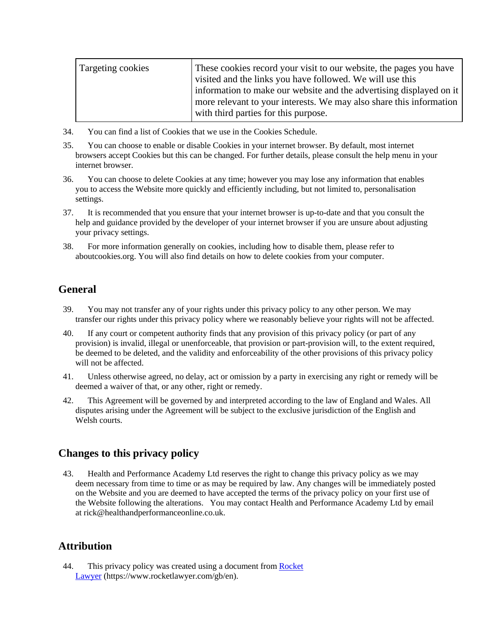| Targeting cookies | These cookies record your visit to our website, the pages you have<br>visited and the links you have followed. We will use this<br>information to make our website and the advertising displayed on it<br>more relevant to your interests. We may also share this information |
|-------------------|-------------------------------------------------------------------------------------------------------------------------------------------------------------------------------------------------------------------------------------------------------------------------------|
|                   | with third parties for this purpose.                                                                                                                                                                                                                                          |

- 34. You can find a list of Cookies that we use in the Cookies Schedule.
- 35. You can choose to enable or disable Cookies in your internet browser. By default, most internet browsers accept Cookies but this can be changed. For further details, please consult the help menu in your internet browser.
- 36. You can choose to delete Cookies at any time; however you may lose any information that enables you to access the Website more quickly and efficiently including, but not limited to, personalisation settings.
- 37. It is recommended that you ensure that your internet browser is up-to-date and that you consult the help and guidance provided by the developer of your internet browser if you are unsure about adjusting your privacy settings.
- 38. For more information generally on cookies, including how to disable them, please refer to aboutcookies.org. You will also find details on how to delete cookies from your computer.

# **General**

- 39. You may not transfer any of your rights under this privacy policy to any other person. We may transfer our rights under this privacy policy where we reasonably believe your rights will not be affected.
- 40. If any court or competent authority finds that any provision of this privacy policy (or part of any provision) is invalid, illegal or unenforceable, that provision or part-provision will, to the extent required, be deemed to be deleted, and the validity and enforceability of the other provisions of this privacy policy will not be affected.
- 41. Unless otherwise agreed, no delay, act or omission by a party in exercising any right or remedy will be deemed a waiver of that, or any other, right or remedy.
- 42. This Agreement will be governed by and interpreted according to the law of England and Wales. All disputes arising under the Agreement will be subject to the exclusive jurisdiction of the English and Welsh courts.

# **Changes to this privacy policy**

43. Health and Performance Academy Ltd reserves the right to change this privacy policy as we may deem necessary from time to time or as may be required by law. Any changes will be immediately posted on the Website and you are deemed to have accepted the terms of the privacy policy on your first use of the Website following the alterations. You may contact Health and Performance Academy Ltd by email at rick@healthandperformanceonline.co.uk.

# **Attribution**

44. This privacy policy was created using a document from Rocket [Lawyer](https://www.rocketlawyer.com/gb/en/) (https://www.rocketlawyer.com/gb/en).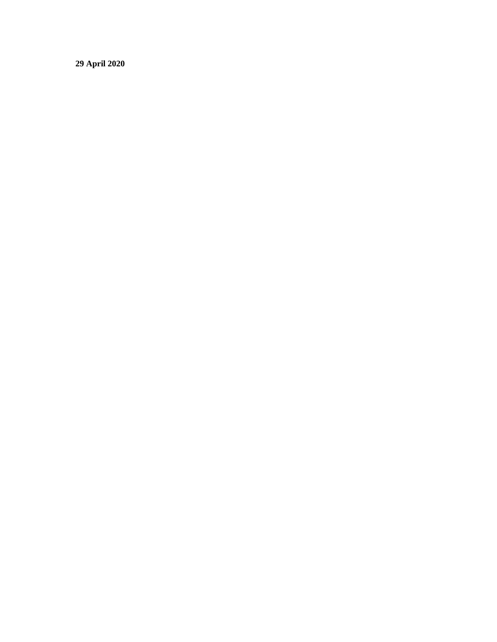**29 April 2020**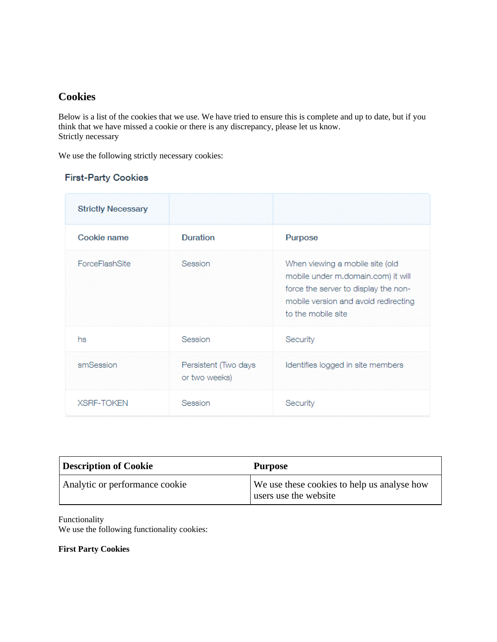# **Cookies**

Below is a list of the cookies that we use. We have tried to ensure this is complete and up to date, but if you think that we have missed a cookie or there is any discrepancy, please let us know. Strictly necessary

We use the following strictly necessary cookies:

### **First-Party Cookies**

| <b>Strictly Necessary</b> |                                       |                                                                                                                                                                             |
|---------------------------|---------------------------------------|-----------------------------------------------------------------------------------------------------------------------------------------------------------------------------|
| Cookie name               | Duration                              | Purpose                                                                                                                                                                     |
| <b>ForceFlashSite</b>     | Session                               | When viewing a mobile site (old<br>mobile under m.domain.com) it will<br>force the server to display the non-<br>mobile version and avoid redirecting<br>to the mobile site |
| hs                        | Session                               | Security                                                                                                                                                                    |
| smSession                 | Persistent (Two days<br>or two weeks) | Identifies logged in site members                                                                                                                                           |
| <b>XSRF-TOKEN</b>         | Session                               | Security                                                                                                                                                                    |

| <b>Description of Cookie</b>   | Purpose                                                              |
|--------------------------------|----------------------------------------------------------------------|
| Analytic or performance cookie | We use these cookies to help us analyse how<br>users use the website |

#### Functionality

We use the following functionality cookies:

**First Party Cookies**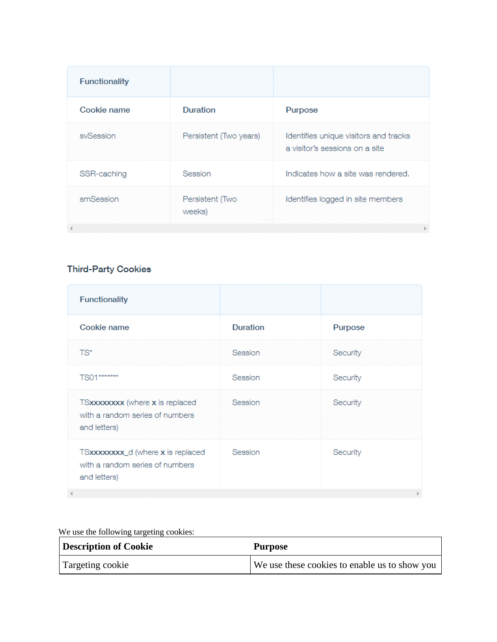| <b>Functionality</b> |                           |                                                                         |
|----------------------|---------------------------|-------------------------------------------------------------------------|
| Cookie name          | Duration                  | Purpose                                                                 |
| svSession            | Persistent (Two years)    | Identifies unique visitors and tracks<br>a visitor's sessions on a site |
| SSR-caching          | Session                   | Indicates how a site was rendered.                                      |
| smSession            | Persistent (Two<br>weeks) | Identifies logged in site members                                       |

# **Third-Party Cookies**

| <b>Functionality</b>                                                                 |                 |          |
|--------------------------------------------------------------------------------------|-----------------|----------|
| Cookie name                                                                          | <b>Duration</b> | Purpose  |
| TS*                                                                                  | Session         | Security |
| TS01*******                                                                          | Session         | Security |
| TSxxxxxxxx (where x is replaced<br>with a random series of numbers<br>and letters)   | Session         | Security |
| TSxxxxxxxx_d (where x is replaced<br>with a random series of numbers<br>and letters) | Session         | Security |
|                                                                                      |                 |          |

| We use the following targeting cookies: |                                               |  |
|-----------------------------------------|-----------------------------------------------|--|
| <b>Description of Cookie</b>            | <b>Purpose</b>                                |  |
| Targeting cookie                        | We use these cookies to enable us to show you |  |

We use the following targeting cookies: